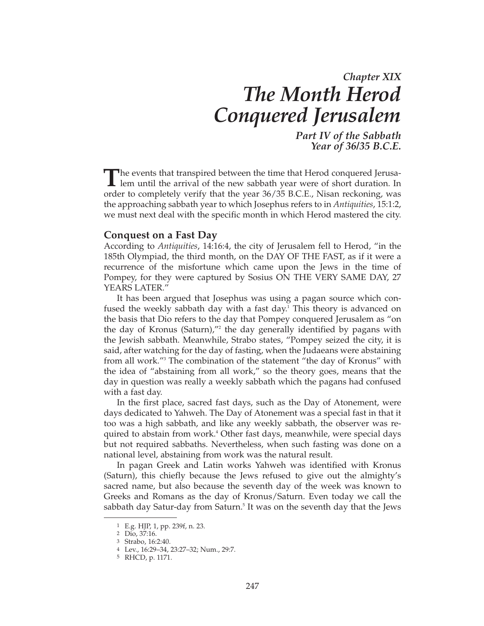# *Chapter XIX The Month Herod Conquered Jerusalem*

*Part IV of the Sabbath Year of 36/35 B.C.E.*

**The events that transpired between the time that Herod conquered Jerusa-L** lem until the arrival of the new sabbath year were of short duration. In order to completely verify that the year 36/35 B.C.E., Nisan reckoning, was the approaching sabbath year to which Josephus refers to in *Antiquities*, 15:1:2, we must next deal with the specific month in which Herod mastered the city.

#### **Conquest on a Fast Day**

According to *Antiquities*, 14:16:4, the city of Jerusalem fell to Herod, "in the 185th Olympiad, the third month, on the DAY OF THE FAST, as if it were a recurrence of the misfortune which came upon the Jews in the time of Pompey, for they were captured by Sosius ON THE VERY SAME DAY, 27 YEARS LATER."

It has been argued that Josephus was using a pagan source which confused the weekly sabbath day with a fast day.<sup>1</sup> This theory is advanced on the basis that Dio refers to the day that Pompey conquered Jerusalem as "on the day of Kronus (Saturn),"2 the day generally identified by pagans with the Jewish sabbath. Meanwhile, Strabo states, "Pompey seized the city, it is said, after watching for the day of fasting, when the Judaeans were abstaining from all work."3 The combination of the statement "the day of Kronus" with the idea of "abstaining from all work," so the theory goes, means that the day in question was really a weekly sabbath which the pagans had confused with a fast day.

In the first place, sacred fast days, such as the Day of Atonement, were days dedicated to Yahweh. The Day of Atonement was a special fast in that it too was a high sabbath, and like any weekly sabbath, the observer was required to abstain from work.<sup>4</sup> Other fast days, meanwhile, were special days but not required sabbaths. Nevertheless, when such fasting was done on a national level, abstaining from work was the natural result.

In pagan Greek and Latin works Yahweh was identified with Kronus (Saturn), this chiefly because the Jews refused to give out the almighty's sacred name, but also because the seventh day of the week was known to Greeks and Romans as the day of Kronus/Saturn. Even today we call the sabbath day Satur-day from Saturn.<sup>5</sup> It was on the seventh day that the Jews

<sup>1</sup> E.g. HJP, 1, pp. 239f, n. 23.

<sup>2</sup> Dio, 37:16.

<sup>3</sup> Strabo, 16:2:40.

<sup>4</sup> Lev., 16:29–34, 23:27–32; Num., 29:7.

<sup>5</sup> RHCD, p. 1171.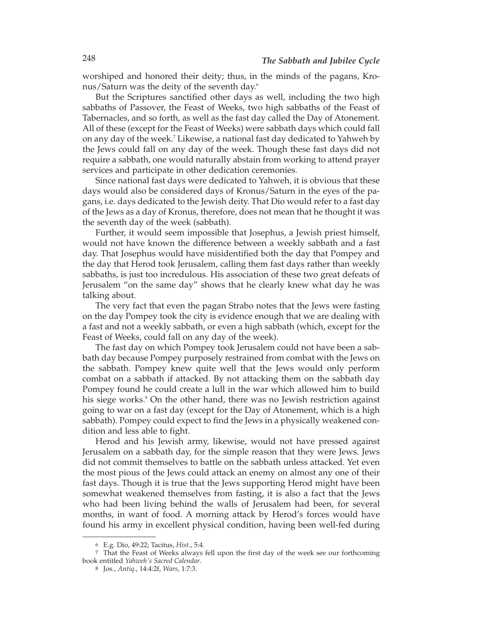worshiped and honored their deity; thus, in the minds of the pagans, Kronus/Saturn was the deity of the seventh day.6

But the Scriptures sanctified other days as well, including the two high sabbaths of Passover, the Feast of Weeks, two high sabbaths of the Feast of Tabernacles, and so forth, as well as the fast day called the Day of Atonement. All of these (except for the Feast of Weeks) were sabbath days which could fall on any day of the week.7 Likewise, a national fast day dedicated to Yahweh by the Jews could fall on any day of the week. Though these fast days did not require a sabbath, one would naturally abstain from working to attend prayer services and participate in other dedication ceremonies.

Since national fast days were dedicated to Yahweh, it is obvious that these days would also be considered days of Kronus/Saturn in the eyes of the pagans, i.e. days dedicated to the Jewish deity. That Dio would refer to a fast day of the Jews as a day of Kronus, therefore, does not mean that he thought it was the seventh day of the week (sabbath).

Further, it would seem impossible that Josephus, a Jewish priest himself, would not have known the difference between a weekly sabbath and a fast day. That Josephus would have misidentified both the day that Pompey and the day that Herod took Jerusalem, calling them fast days rather than weekly sabbaths, is just too incredulous. His association of these two great defeats of Jerusalem "on the same day" shows that he clearly knew what day he was talking about.

The very fact that even the pagan Strabo notes that the Jews were fasting on the day Pompey took the city is evidence enough that we are dealing with a fast and not a weekly sabbath, or even a high sabbath (which, except for the Feast of Weeks, could fall on any day of the week).

The fast day on which Pompey took Jerusalem could not have been a sabbath day because Pompey purposely restrained from combat with the Jews on the sabbath. Pompey knew quite well that the Jews would only perform combat on a sabbath if attacked. By not attacking them on the sabbath day Pompey found he could create a lull in the war which allowed him to build his siege works.<sup>8</sup> On the other hand, there was no Jewish restriction against going to war on a fast day (except for the Day of Atonement, which is a high sabbath). Pompey could expect to find the Jews in a physically weakened condition and less able to fight.

Herod and his Jewish army, likewise, would not have pressed against Jerusalem on a sabbath day, for the simple reason that they were Jews. Jews did not commit themselves to battle on the sabbath unless attacked. Yet even the most pious of the Jews could attack an enemy on almost any one of their fast days. Though it is true that the Jews supporting Herod might have been somewhat weakened themselves from fasting, it is also a fact that the Jews who had been living behind the walls of Jerusalem had been, for several months, in want of food. A morning attack by Herod's forces would have found his army in excellent physical condition, having been well-fed during

<sup>6</sup> E.g. Dio, 49:22; Tacitus, *Hist*., 5:4.

<sup>7</sup> That the Feast of Weeks always fell upon the first day of the week see our forthcoming book entitled *Yahweh's Sacred Calendar*.

<sup>8</sup> Jos., *Antiq*., 14:4:2f, *Wars*, 1:7:3.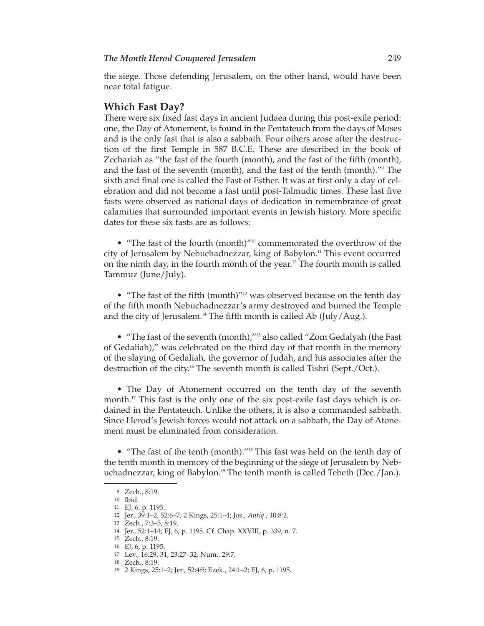the siege. Those defending Jerusalem, on the other hand, would have been near total fatigue.

## **Which Fast Day?**

There were six fixed fast days in ancient Judaea during this post-exile period: one, the Day of Atonement, is found in the Pentateuch from the days of Moses and is the only fast that is also a sabbath. Four others arose after the destruction of the first Temple in 587 B.C.E. These are described in the book of Zechariah as "the fast of the fourth (month), and the fast of the fifth (month), and the fast of the seventh (month), and the fast of the tenth (month)."9 The sixth and final one is called the Fast of Esther. It was at first only a day of celebration and did not become a fast until post-Talmudic times. These last five fasts were observed as national days of dedication in remembrance of great calamities that surrounded important events in Jewish history. More specific dates for these six fasts are as follows:

• "The fast of the fourth (month)"10 commemorated the overthrow of the city of Jerusalem by Nebuchadnezzar, king of Babylon.11 This event occurred on the ninth day, in the fourth month of the year.12 The fourth month is called Tammuz (June/July).

• "The fast of the fifth (month)"<sup>13</sup> was observed because on the tenth day of the fifth month Nebuchadnezzar's army destroyed and burned the Temple and the city of Jerusalem.14 The fifth month is called Ab (July/Aug.).

• "The fast of the seventh (month),"15 also called "Zom Gedalyah (the Fast of Gedaliah)," was celebrated on the third day of that month in the memory of the slaying of Gedaliah, the governor of Judah, and his associates after the destruction of the city.16 The seventh month is called Tishri (Sept./Oct.).

• The Day of Atonement occurred on the tenth day of the seventh month.<sup>17</sup> This fast is the only one of the six post-exile fast days which is ordained in the Pentateuch. Unlike the others, it is also a commanded sabbath. Since Herod's Jewish forces would not attack on a sabbath, the Day of Atone ment must be eliminated from consideration.

• "The fast of the tenth (month)."18 This fast was held on the tenth day of the tenth month in memory of the beginning of the siege of Jerusalem by Neb uchadnezzar, king of Babylon.<sup>19</sup> The tenth month is called Tebeth (Dec./Jan.).

<sup>9</sup> Zech., 8:19.

<sup>10</sup> Ibid.

<sup>11</sup> EJ, 6, p. 1195.

<sup>12</sup> Jer., 39:1–2, 52:6–7; 2 Kings, 25:1–4; Jos., *Antiq*., 10:8:2.

<sup>13</sup> Zech., 7:3–5, 8:19.

<sup>14</sup> Jer., 52:1–14; EJ, 6, p. 1195. Cf. Chap. XXVIII, p. 339, n. 7.

<sup>15</sup> Zech., 8:19.

<sup>16</sup> EJ, 6, p. 1195. 17 Lev., 16:29, 31, 23:27–32; Num., 29:7.

<sup>18</sup> Zech., 8:19.

<sup>19</sup> 2 Kings, 25:1–2; Jer., 52:4ff; Ezek., 24:1–2; EJ, 6, p. 1195.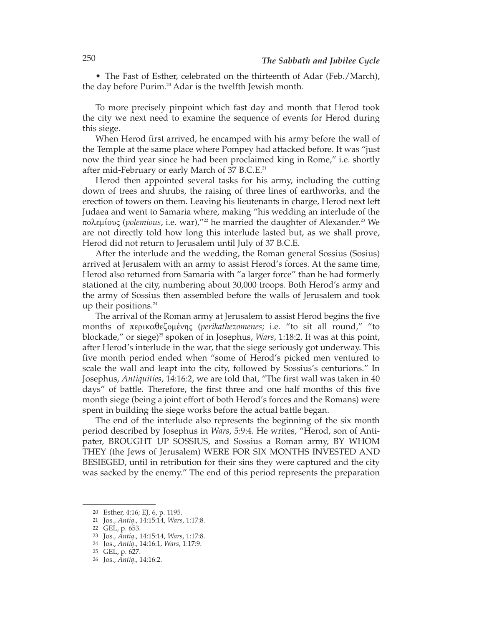• The Fast of Esther, celebrated on the thirteenth of Adar (Feb./March), the day before Purim.<sup>20</sup> Adar is the twelfth Jewish month.

To more precisely pinpoint which fast day and month that Herod took the city we next need to examine the sequence of events for Herod during this siege.

When Herod first arrived, he encamped with his army before the wall of the Temple at the same place where Pompey had attacked before. It was "just now the third year since he had been proclaimed king in Rome," i.e. shortly after mid-February or early March of 37 B.C.E.<sup>21</sup>

Herod then appointed several tasks for his army, including the cutting down of trees and shrubs, the raising of three lines of earthworks, and the erection of towers on them. Leaving his lieutenants in charge, Herod next left Judaea and went to Samaria where, making "his wedding an interlude of the πολεμίους (*polemious*, i.e. war),"22 he married the daughter of Alexander.23 We are not directly told how long this interlude lasted but, as we shall prove, Herod did not return to Jerusalem until July of 37 B.C.E.

After the interlude and the wedding, the Roman general Sossius (Sosius) arrived at Jerusalem with an army to assist Herod's forces. At the same time, Herod also returned from Samaria with "a larger force" than he had formerly stationed at the city, numbering about 30,000 troops. Both Herod's army and the army of Sossius then assembled before the walls of Jerusalem and took up their positions.<sup>24</sup>

The arrival of the Roman army at Jerusalem to assist Herod begins the five months of περικαθεζομένης (*perikathezomenes*; i.e. "to sit all round," "to blockade," or siege)<sup>25</sup> spoken of in Josephus, *Wars*, 1:18:2. It was at this point, after Herod's interlude in the war, that the siege seriously got underway. This five month period ended when "some of Herod's picked men ventured to scale the wall and leapt into the city, followed by Sossius's centurions." In Josephus, *Antiquities*, 14:16:2, we are told that, "The first wall was taken in 40 days" of battle. Therefore, the first three and one half months of this five month siege (being a joint effort of both Herod's forces and the Romans) were spent in building the siege works before the actual battle began.

The end of the interlude also represents the beginning of the six month period described by Josephus in *Wars*, 5:9:4. He writes, "Herod, son of Antipater, BROUGHT UP SOSSIUS, and Sossius a Roman army, BY WHOM THEY (the Jews of Jerusalem) WERE FOR SIX MONTHS INVESTED AND BESIEGED, until in retribution for their sins they were captured and the city was sacked by the enemy." The end of this period represents the preparation

<sup>20</sup> Esther, 4:16; EJ, 6, p. 1195.

<sup>21</sup> Jos., *Antiq*., 14:15:14, *Wars*, 1:17:8.

<sup>22</sup> GEL, p. 653.

<sup>23</sup> Jos., *Antiq*., 14:15:14, *Wars*, 1:17:8.

<sup>24</sup> Jos., *Antiq*., 14:16:1, *Wars*, 1:17:9.

<sup>25</sup> GEL, p. 627.

<sup>26</sup> Jos., *Antiq*., 14:16:2.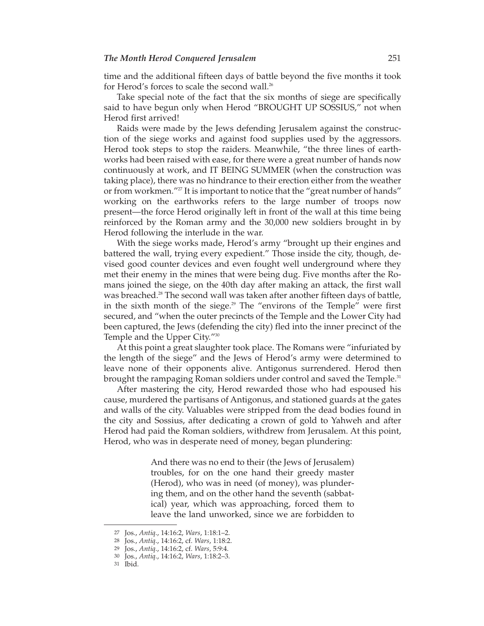time and the additional fifteen days of battle beyond the five months it took for Herod's forces to scale the second wall.<sup>26</sup>

Take special note of the fact that the six months of siege are specifically said to have begun only when Herod "BROUGHT UP SOSSIUS," not when Herod first arrived!

Raids were made by the Jews defending Jerusalem against the construction of the siege works and against food supplies used by the aggressors. Herod took steps to stop the raiders. Meanwhile, "the three lines of earthworks had been raised with ease, for there were a great number of hands now continuously at work, and IT BEING SUMMER (when the construction was taking place), there was no hindrance to their erection either from the weather or from workmen."<sup>27</sup> It is important to notice that the "great number of hands" working on the earthworks refers to the large number of troops now present—the force Herod originally left in front of the wall at this time being reinforced by the Roman army and the 30,000 new soldiers brought in by Herod following the interlude in the war.

With the siege works made, Herod's army "brought up their engines and battered the wall, trying every expedient." Those inside the city, though, devised good counter devices and even fought well underground where they met their enemy in the mines that were being dug. Five months after the Romans joined the siege, on the 40th day after making an attack, the first wall was breached.<sup>28</sup> The second wall was taken after another fifteen days of battle, in the sixth month of the siege.29 The "environs of the Temple" were first secured, and "when the outer precincts of the Temple and the Lower City had been captured, the Jews (defending the city) fled into the inner precinct of the Temple and the Upper City."30

At this point a great slaughter took place. The Romans were "infuriated by the length of the siege" and the Jews of Herod's army were determined to leave none of their opponents alive. Antigonus surrendered. Herod then brought the rampaging Roman soldiers under control and saved the Temple.<sup>31</sup>

After mastering the city, Herod rewarded those who had espoused his cause, murdered the partisans of Antigonus, and stationed guards at the gates and walls of the city. Valuables were stripped from the dead bodies found in the city and Sossius, after dedicating a crown of gold to Yahweh and after Herod had paid the Roman soldiers, withdrew from Jerusalem. At this point, Herod, who was in desperate need of money, began plundering:

> And there was no end to their (the Jews of Jerusalem) troubles, for on the one hand their greedy master (Herod), who was in need (of money), was plundering them, and on the other hand the seventh (sabbatical) year, which was approaching, forced them to leave the land unworked, since we are forbidden to

<sup>27</sup> Jos., *Antiq*., 14:16:2, *Wars*, 1:18:1–2.

<sup>28</sup> Jos., *Antiq*., 14:16:2, cf. *Wars*, 1:18:2.

<sup>29</sup> Jos., *Antiq*., 14:16:2, cf. *Wars*, 5:9:4.

<sup>30</sup> Jos., *Antiq*., 14:16:2, *Wars*, 1:18:2–3.

<sup>31</sup> Ibid.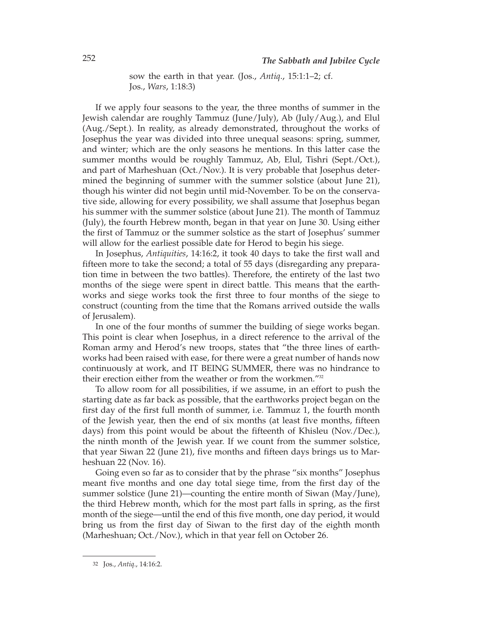sow the earth in that year. (Jos., *Antiq*., 15:1:1–2; cf. Jos., *Wars*, 1:18:3)

If we apply four seasons to the year, the three months of summer in the Jewish calendar are roughly Tammuz (June/July), Ab (July/Aug.), and Elul (Aug./Sept.). In reality, as already demonstrated, throughout the works of Josephus the year was divided into three unequal seasons: spring, summer, and winter; which are the only seasons he mentions. In this latter case the summer months would be roughly Tammuz, Ab, Elul, Tishri (Sept./Oct.), and part of Marheshuan (Oct./Nov.). It is very probable that Josephus determined the beginning of summer with the summer solstice (about June 21), though his winter did not begin until mid-November. To be on the conservative side, allowing for every possibility, we shall assume that Josephus began his summer with the summer solstice (about June 21). The month of Tammuz (July), the fourth Hebrew month, began in that year on June 30. Using either the first of Tammuz or the summer solstice as the start of Josephus' summer will allow for the earliest possible date for Herod to begin his siege.

In Josephus, *Antiquities*, 14:16:2, it took 40 days to take the first wall and fifteen more to take the second; a total of 55 days (disregarding any preparation time in between the two battles). Therefore, the entirety of the last two months of the siege were spent in direct battle. This means that the earthworks and siege works took the first three to four months of the siege to construct (counting from the time that the Romans arrived outside the walls of Jerusalem).

In one of the four months of summer the building of siege works began. This point is clear when Josephus, in a direct reference to the arrival of the Roman army and Herod's new troops, states that "the three lines of earthworks had been raised with ease, for there were a great number of hands now continuously at work, and IT BEING SUMMER, there was no hindrance to their erection either from the weather or from the workmen."<sup>32</sup>

To allow room for all possibilities, if we assume, in an effort to push the starting date as far back as possible, that the earthworks project began on the first day of the first full month of summer, i.e. Tammuz 1, the fourth month of the Jewish year, then the end of six months (at least five months, fifteen days) from this point would be about the fifteenth of Khisleu (Nov./Dec.), the ninth month of the Jewish year. If we count from the summer solstice, that year Siwan 22 (June 21), five months and fifteen days brings us to Marheshuan 22 (Nov. 16).

Going even so far as to consider that by the phrase "six months" Josephus meant five months and one day total siege time, from the first day of the summer solstice (June 21)—counting the entire month of Siwan (May/June), the third Hebrew month, which for the most part falls in spring, as the first month of the siege—until the end of this five month, one day period, it would bring us from the first day of Siwan to the first day of the eighth month (Marheshuan; Oct./Nov.), which in that year fell on October 26.

<sup>32</sup> Jos., *Antiq*., 14:16:2.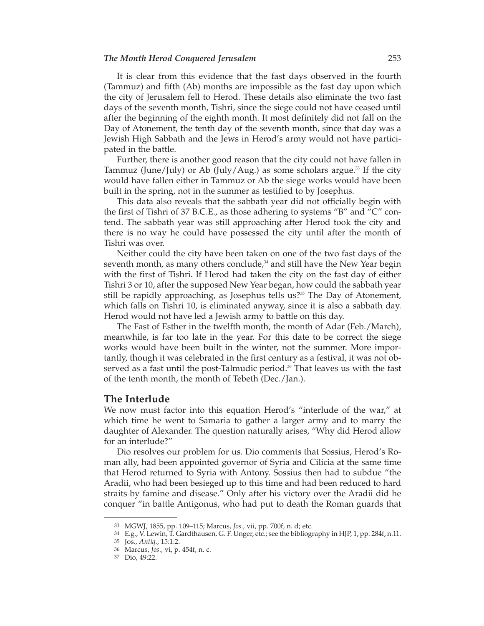#### *The Month Herod Conquered Jerusalem* 253

It is clear from this evidence that the fast days observed in the fourth (Tammuz) and fifth (Ab) months are impossible as the fast day upon which the city of Jerusalem fell to Herod. These details also eliminate the two fast days of the seventh month, Tishri, since the siege could not have ceased until after the beginning of the eighth month. It most definitely did not fall on the Day of Atonement, the tenth day of the seventh month, since that day was a Jewish High Sabbath and the Jews in Herod's army would not have participated in the battle.

Further, there is another good reason that the city could not have fallen in Tammuz (June/July) or Ab (July/Aug.) as some scholars argue.<sup>33</sup> If the city would have fallen either in Tammuz or Ab the siege works would have been built in the spring, not in the summer as testified to by Josephus.

This data also reveals that the sabbath year did not officially begin with the first of Tishri of 37 B.C.E., as those adhering to systems "B" and "C" contend. The sabbath year was still approaching after Herod took the city and there is no way he could have possessed the city until after the month of Tishri was over.

Neither could the city have been taken on one of the two fast days of the seventh month, as many others conclude, $34$  and still have the New Year begin with the first of Tishri. If Herod had taken the city on the fast day of either Tishri 3 or 10, after the supposed New Year began, how could the sabbath year still be rapidly approaching, as Josephus tells us?<sup>35</sup> The Day of Atonement, which falls on Tishri 10, is eliminated anyway, since it is also a sabbath day. Herod would not have led a Jewish army to battle on this day.

The Fast of Esther in the twelfth month, the month of Adar (Feb./March), meanwhile, is far too late in the year. For this date to be correct the siege works would have been built in the winter, not the summer. More importantly, though it was celebrated in the first century as a festival, it was not ob served as a fast until the post-Talmudic period.<sup>36</sup> That leaves us with the fast of the tenth month, the month of Tebeth (Dec./Jan.).

#### **The Interlude**

We now must factor into this equation Herod's "interlude of the war," at which time he went to Samaria to gather a larger army and to marry the daughter of Alexander. The question naturally arises, "Why did Herod allow for an interlude?"

Dio resolves our problem for us. Dio comments that Sossius, Herod's Roman ally, had been appointed governor of Syria and Cilicia at the same time that Herod returned to Syria with Antony. Sossius then had to subdue "the Aradii, who had been besieged up to this time and had been reduced to hard straits by famine and disease." Only after his victory over the Aradii did he conquer "in battle Antigonus, who had put to death the Roman guards that

<sup>33</sup> MGWJ, 1855, pp. 109–115; Marcus, *Jos*., vii, pp. 700f, n. d; etc.

<sup>34</sup> E.g., V. Lewin, T. Gardthausen, G. F. Unger, etc.; see the bibliography in HJP, 1, pp. 284f, n.11.

<sup>35</sup> Jos., *Antiq*., 15:1:2.

<sup>36</sup> Marcus, *Jos*., vi, p. 454f, n. c.

<sup>37</sup> Dio, 49:22.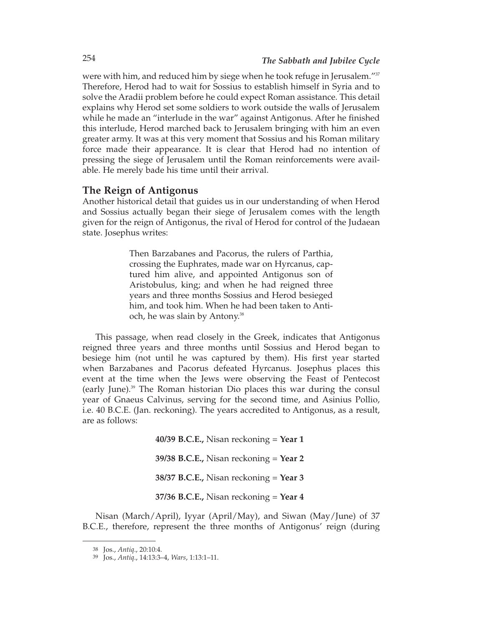were with him, and reduced him by siege when he took refuge in Jerusalem."<sup>37</sup> Therefore, Herod had to wait for Sossius to establish himself in Syria and to solve the Aradii problem before he could expect Roman assistance. This detail explains why Herod set some soldiers to work outside the walls of Jerusalem while he made an "interlude in the war" against Antigonus. After he finished this interlude, Herod marched back to Jerusalem bringing with him an even greater army. It was at this very moment that Sossius and his Roman military force made their appearance. It is clear that Herod had no intention of pressing the siege of Jerusalem until the Roman reinforcements were available. He merely bade his time until their arrival.

### **The Reign of Antigonus**

Another historical detail that guides us in our understanding of when Herod and Sossius actually began their siege of Jerusalem comes with the length given for the reign of Antigonus, the rival of Herod for control of the Judaean state. Josephus writes:

> Then Barzabanes and Pacorus, the rulers of Parthia, crossing the Euphrates, made war on Hyrcanus, captured him alive, and appointed Antigonus son of Aristobulus, king; and when he had reigned three years and three months Sossius and Herod besieged him, and took him. When he had been taken to Antioch, he was slain by Antony.38

This passage, when read closely in the Greek, indicates that Antigonus reigned three years and three months until Sossius and Herod began to besiege him (not until he was captured by them). His first year started when Barzabanes and Pacorus defeated Hyrcanus. Josephus places this event at the time when the Jews were observing the Feast of Pentecost (early June).39 The Roman historian Dio places this war during the consul year of Gnaeus Calvinus, serving for the second time, and Asinius Pollio, i.e. 40 B.C.E. (Jan. reckoning). The years accredited to Antigonus, as a result, are as follows:

> **40/39 B.C.E.,** Nisan reckoning = **Year 1 39/38 B.C.E.,** Nisan reckoning = **Year 2 38/37 B.C.E.,** Nisan reckoning = **Year 3 37/36 B.C.E.,** Nisan reckoning = **Year 4**

Nisan (March/April), Iyyar (April/May), and Siwan (May/June) of 37 B.C.E., therefore, represent the three months of Antigonus' reign (during

<sup>38</sup> Jos., *Antiq*., 20:10:4.

<sup>39</sup> Jos., *Antiq*., 14:13:3–4, *Wars*, 1:13:1–11.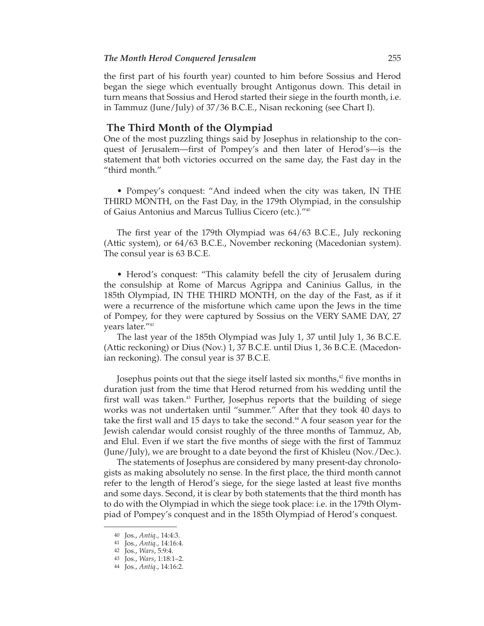#### *The Month Herod Conquered Jerusalem* 255

the first part of his fourth year) counted to him before Sossius and Herod began the siege which eventually brought Antigonus down. This detail in turn means that Sossius and Herod started their siege in the fourth month, i.e. in Tammuz (June/July) of 37/36 B.C.E., Nisan reckoning (see Chart I).

#### **The Third Month of the Olympiad**

One of the most puzzling things said by Josephus in relationship to the conquest of Jerusalem—first of Pompey's and then later of Herod's—is the statement that both victories occurred on the same day, the Fast day in the "third month."

• Pompey's conquest: "And indeed when the city was taken, IN THE THIRD MONTH, on the Fast Day, in the 179th Olympiad, in the consulship of Gaius Antonius and Marcus Tullius Cicero (etc.)."40

The first year of the 179th Olympiad was 64/63 B.C.E., July reckoning (Attic system), or 64/63 B.C.E., November reckoning (Macedonian system). The consul year is 63 B.C.E.

• Herod's conquest: "This calamity befell the city of Jerusalem during the consulship at Rome of Marcus Agrippa and Caninius Gallus, in the 185th Olympiad, IN THE THIRD MONTH, on the day of the Fast, as if it were a recurrence of the misfortune which came upon the Jews in the time of Pompey, for they were captured by Sossius on the VERY SAME DAY, 27 years later."41

The last year of the 185th Olympiad was July 1, 37 until July 1, 36 B.C.E. (Attic reckoning) or Dius (Nov.) 1, 37 B.C.E. until Dius 1, 36 B.C.E. (Macedonian reckoning). The consul year is 37 B.C.E.

Josephus points out that the siege itself lasted six months,<sup>42</sup> five months in duration just from the time that Herod returned from his wedding until the first wall was taken.<sup>43</sup> Further, Josephus reports that the building of siege works was not undertaken until "summer." After that they took 40 days to take the first wall and 15 days to take the second. $44$  A four season year for the Jewish calendar would consist roughly of the three months of Tammuz, Ab, and Elul. Even if we start the five months of siege with the first of Tammuz (June/July), we are brought to a date beyond the first of Khisleu (Nov./Dec.).

The statements of Josephus are considered by many present-day chronologists as making absolutely no sense. In the first place, the third month cannot refer to the length of Herod's siege, for the siege lasted at least five months and some days. Second, it is clear by both statements that the third month has to do with the Olympiad in which the siege took place: i.e. in the 179th Olympiad of Pompey's conquest and in the 185th Olympiad of Herod's conquest.

<sup>40</sup> Jos., *Antiq*., 14:4:3.

<sup>41</sup> Jos., *Antiq*., 14:16:4.

<sup>42</sup> Jos., *Wars*, 5:9:4.

<sup>43</sup> Jos., *Wars*, 1:18:1–2.

<sup>44</sup> Jos., *Antiq*., 14:16:2.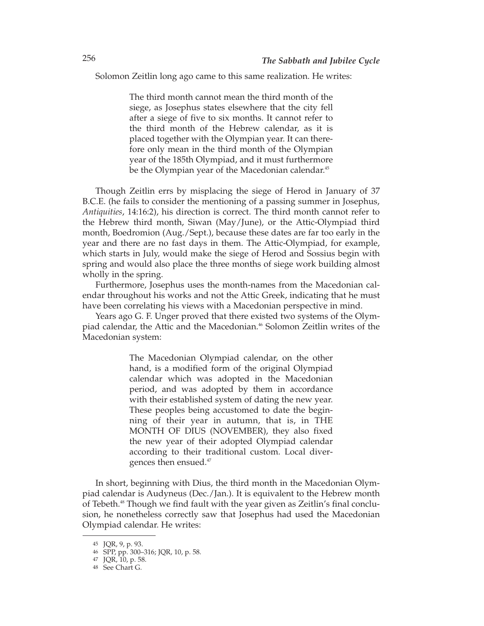Solomon Zeitlin long ago came to this same realization. He writes:

The third month cannot mean the third month of the siege, as Josephus states elsewhere that the city fell after a siege of five to six months. It cannot refer to the third month of the Hebrew calendar, as it is placed together with the Olympian year. It can therefore only mean in the third month of the Olympian year of the 185th Olympiad, and it must furthermore be the Olympian year of the Macedonian calendar.<sup>45</sup>

Though Zeitlin errs by misplacing the siege of Herod in January of 37 B.C.E. (he fails to consider the mentioning of a passing summer in Josephus, *Antiquities*, 14:16:2), his direction is correct. The third month cannot refer to the Hebrew third month, Siwan (May/June), or the Attic-Olympiad third month, Boedromion (Aug./Sept.), because these dates are far too early in the year and there are no fast days in them. The Attic-Olympiad, for example, which starts in July, would make the siege of Herod and Sossius begin with spring and would also place the three months of siege work building almost wholly in the spring.

Furthermore, Josephus uses the month-names from the Macedonian calendar throughout his works and not the Attic Greek, indicating that he must have been correlating his views with a Macedonian perspective in mind.

Years ago G. F. Unger proved that there existed two systems of the Olympiad calendar, the Attic and the Macedonian.46 Solomon Zeitlin writes of the Macedonian system:

> The Macedonian Olympiad calendar, on the other hand, is a modified form of the original Olympiad calendar which was adopted in the Macedonian period, and was adopted by them in accordance with their established system of dating the new year. These peoples being accustomed to date the beginning of their year in autumn, that is, in THE MONTH OF DIUS (NOVEMBER), they also fixed the new year of their adopted Olympiad calendar according to their traditional custom. Local divergences then ensued.47

In short, beginning with Dius, the third month in the Macedonian Olympiad calendar is Audyneus (Dec./Jan.). It is equivalent to the Hebrew month of Tebeth.<sup>48</sup> Though we find fault with the year given as Zeitlin's final conclusion, he nonetheless correctly saw that Josephus had used the Macedonian Olympiad calendar. He writes:

<sup>45</sup> JQR, 9, p. 93.

<sup>46</sup> SPP, pp. 300–316; JQR, 10, p. 58.

<sup>47</sup> JQR, 10, p. 58.

<sup>48</sup> See Chart G.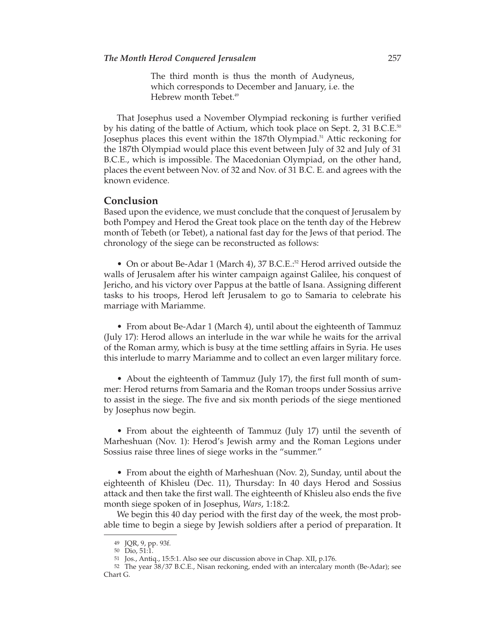The third month is thus the month of Audyneus, which corresponds to December and January, i.e. the Hebrew month Tebet.<sup>49</sup>

That Josephus used a November Olympiad reckoning is further verified by his dating of the battle of Actium, which took place on Sept. 2, 31 B.C.E.<sup>50</sup> Josephus places this event within the 187th Olympiad.<sup>51</sup> Attic reckoning for the 187th Olympiad would place this event between July of 32 and July of 31 B.C.E., which is impossible. The Macedonian Olympiad, on the other hand, places the event between Nov. of 32 and Nov. of 31 B.C. E. and agrees with the known evidence.

# **Conclusion**

Based upon the evidence, we must conclude that the conquest of Jerusalem by both Pompey and Herod the Great took place on the tenth day of the Hebrew month of Tebeth (or Tebet), a national fast day for the Jews of that period. The chronology of the siege can be reconstructed as follows:

• On or about Be-Adar 1 (March 4), 37 B.C.E.<sup>52</sup> Herod arrived outside the walls of Jerusalem after his winter campaign against Galilee, his conquest of Jericho, and his victory over Pappus at the battle of Isana. Assigning different tasks to his troops, Herod left Jerusalem to go to Samaria to celebrate his marriage with Mariamme.

• From about Be-Adar 1 (March 4), until about the eighteenth of Tammuz (July 17): Herod allows an interlude in the war while he waits for the arrival of the Roman army, which is busy at the time settling affairs in Syria. He uses this interlude to marry Mariamme and to collect an even larger military force.

• About the eighteenth of Tammuz (July 17), the first full month of summer: Herod returns from Samaria and the Roman troops under Sossius arrive to assist in the siege. The five and six month periods of the siege mentioned by Josephus now begin.

• From about the eighteenth of Tammuz (July 17) until the seventh of Marheshuan (Nov. 1): Herod's Jewish army and the Roman Legions under Sossius raise three lines of siege works in the "summer."

• From about the eighth of Marheshuan (Nov. 2), Sunday, until about the eighteenth of Khisleu (Dec. 11), Thursday: In 40 days Herod and Sossius attack and then take the first wall. The eighteenth of Khisleu also ends the five month siege spoken of in Josephus, *Wars*, 1:18:2.

We begin this 40 day period with the first day of the week, the most probable time to begin a siege by Jewish soldiers after a period of preparation. It

<sup>49</sup> JQR, 9, pp. 93f.

<sup>50</sup> Dio, 51:1.

<sup>51</sup> Jos., Antiq., 15:5:1. Also see our discussion above in Chap. XII, p.176.

<sup>52</sup> The year 38/37 B.C.E., Nisan reckoning, ended with an intercalary month (Be-Adar); see Chart G.